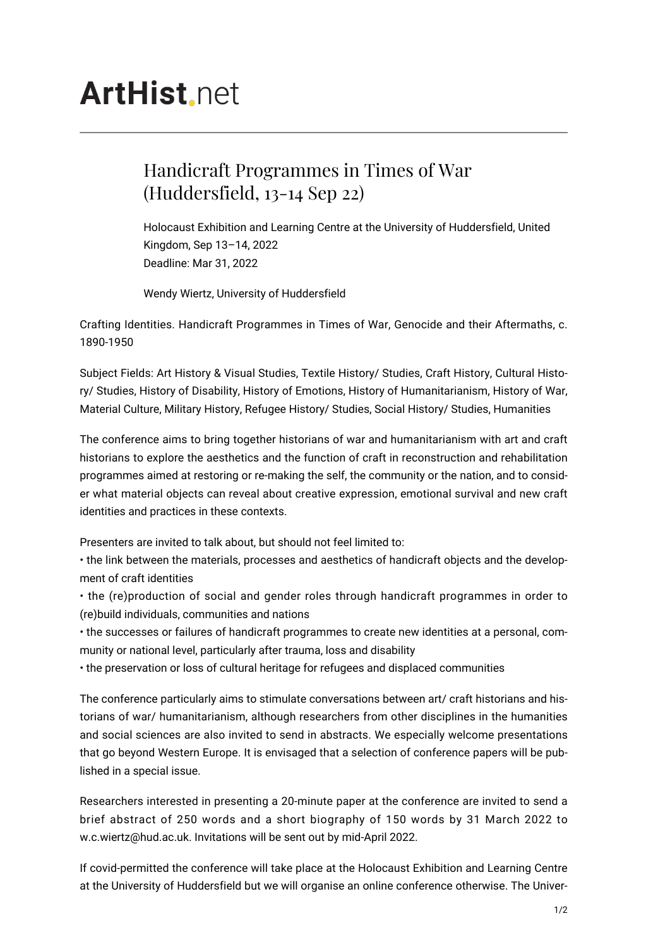## **ArtHist** net

## Handicraft Programmes in Times of War (Huddersfield, 13-14 Sep 22)

Holocaust Exhibition and Learning Centre at the University of Huddersfield, United Kingdom, Sep 13–14, 2022 Deadline: Mar 31, 2022

Wendy Wiertz, University of Huddersfield

Crafting Identities. Handicraft Programmes in Times of War, Genocide and their Aftermaths, c. 1890-1950

Subject Fields: Art History & Visual Studies, Textile History/ Studies, Craft History, Cultural History/ Studies, History of Disability, History of Emotions, History of Humanitarianism, History of War, Material Culture, Military History, Refugee History/ Studies, Social History/ Studies, Humanities

The conference aims to bring together historians of war and humanitarianism with art and craft historians to explore the aesthetics and the function of craft in reconstruction and rehabilitation programmes aimed at restoring or re-making the self, the community or the nation, and to consider what material objects can reveal about creative expression, emotional survival and new craft identities and practices in these contexts.

Presenters are invited to talk about, but should not feel limited to:

• the link between the materials, processes and aesthetics of handicraft objects and the development of craft identities

• the (re)production of social and gender roles through handicraft programmes in order to (re)build individuals, communities and nations

• the successes or failures of handicraft programmes to create new identities at a personal, community or national level, particularly after trauma, loss and disability

• the preservation or loss of cultural heritage for refugees and displaced communities

The conference particularly aims to stimulate conversations between art/ craft historians and historians of war/ humanitarianism, although researchers from other disciplines in the humanities and social sciences are also invited to send in abstracts. We especially welcome presentations that go beyond Western Europe. It is envisaged that a selection of conference papers will be published in a special issue.

Researchers interested in presenting a 20-minute paper at the conference are invited to send a brief abstract of 250 words and a short biography of 150 words by 31 March 2022 to w.c.wiertz@hud.ac.uk. Invitations will be sent out by mid-April 2022.

If covid-permitted the conference will take place at the Holocaust Exhibition and Learning Centre at the University of Huddersfield but we will organise an online conference otherwise. The Univer-